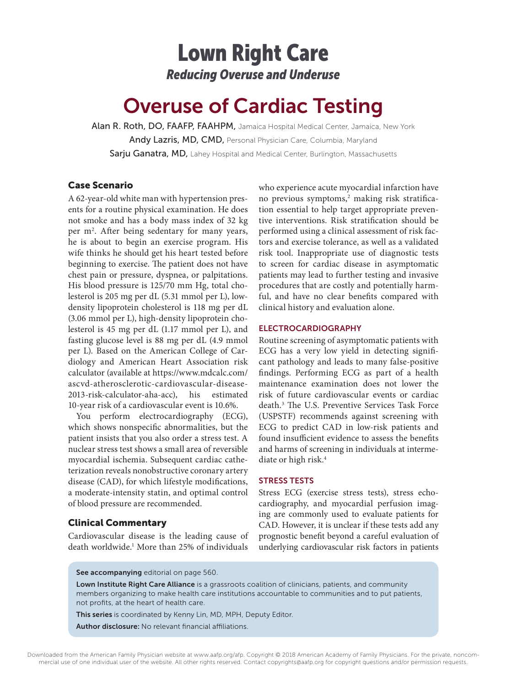# Lown Right Care *Reducing Overuse and Underuse*

# Overuse of Cardiac Testing

Alan R. Roth, DO, FAAFP, FAAHPM, Jamaica Hospital Medical Center, Jamaica, New York Andy Lazris, MD, CMD, Personal Physician Care, Columbia, Maryland Sarju Ganatra, MD, Lahey Hospital and Medical Center, Burlington, Massachusetts

## Case Scenario

A 62-year-old white man with hypertension presents for a routine physical examination. He does not smoke and has a body mass index of 32 kg per m<sup>2</sup>. After being sedentary for many years, he is about to begin an exercise program. His wife thinks he should get his heart tested before beginning to exercise. The patient does not have chest pain or pressure, dyspnea, or palpitations. His blood pressure is 125/70 mm Hg, total cholesterol is 205 mg per dL (5.31 mmol per L), lowdensity lipoprotein cholesterol is 118 mg per dL (3.06 mmol per L), high-density lipoprotein cholesterol is 45 mg per dL (1.17 mmol per L), and fasting glucose level is 88 mg per dL (4.9 mmol per L). Based on the American College of Cardiology and American Heart Association risk calculator (available at https://www.mdcalc.com/ ascvd-atherosclerotic-cardiovascular-disease-2013-risk-calculator-aha-acc), his estimated 10-year risk of a cardiovascular event is 10.6%.

You perform electrocardiography (ECG), which shows nonspecific abnormalities, but the patient insists that you also order a stress test. A nuclear stress test shows a small area of reversible myocardial ischemia. Subsequent cardiac catheterization reveals nonobstructive coronary artery disease (CAD), for which lifestyle modifications, a moderate-intensity statin, and optimal control of blood pressure are recommended.

## Clinical Commentary

Cardiovascular disease is the leading cause of death worldwide.<sup>1</sup> More than 25% of individuals who experience acute myocardial infarction have no previous symptoms,<sup>2</sup> making risk stratification essential to help target appropriate preventive interventions. Risk stratification should be performed using a clinical assessment of risk factors and exercise tolerance, as well as a validated risk tool. Inappropriate use of diagnostic tests to screen for cardiac disease in asymptomatic patients may lead to further testing and invasive procedures that are costly and potentially harmful, and have no clear benefits compared with clinical history and evaluation alone.

#### ELECTROCARDIOGRAPHY

Routine screening of asymptomatic patients with ECG has a very low yield in detecting significant pathology and leads to many false-positive findings. Performing ECG as part of a health maintenance examination does not lower the risk of future cardiovascular events or cardiac death.3 The U.S. Preventive Services Task Force (USPSTF) recommends against screening with ECG to predict CAD in low-risk patients and found insufficient evidence to assess the benefits and harms of screening in individuals at intermediate or high risk.4

#### STRESS TESTS

Stress ECG (exercise stress tests), stress echocardiography, and myocardial perfusion imaging are commonly used to evaluate patients for CAD. However, it is unclear if these tests add any prognostic benefit beyond a careful evaluation of underlying cardiovascular risk factors in patients

See accompanying editorial on page 560.

Lown Institute Right Care Alliance is a grassroots coalition of clinicians, patients, and community members organizing to make health care institutions accountable to communities and to put patients, not profits, at the heart of health care.

This series is coordinated by Kenny Lin, MD, MPH, Deputy Editor. Author disclosure: No relevant financial affiliations.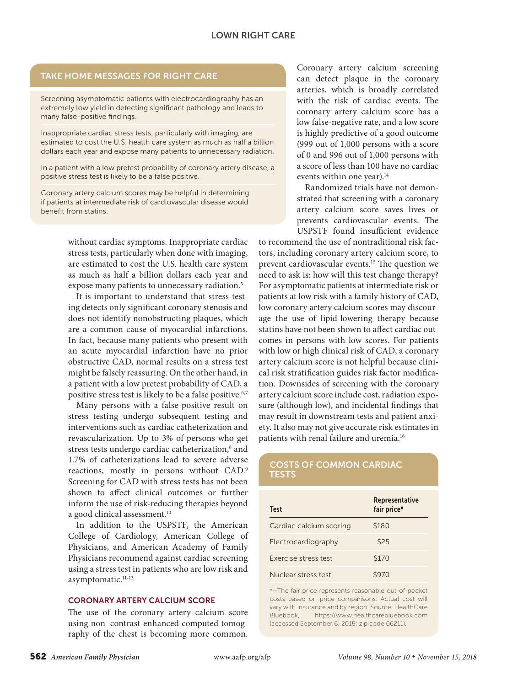# TAKE HOME MESSAGES FOR RIGHT CARE

Screening asymptomatic patients with electrocardiography has an extremely low yield in detecting significant pathology and leads to many false-positive findings.

Inappropriate cardiac stress tests, particularly with imaging, are estimated to cost the U.S. health care system as much as half a billion dollars each year and expose many patients to unnecessary radiation.

In a patient with a low pretest probability of coronary artery disease, a positive stress test is likely to be a false positive.

Coronary artery calcium scores may be helpful in determining if patients at intermediate risk of cardiovascular disease would benefit from statins.

> without cardiac symptoms. Inappropriate cardiac stress tests, particularly when done with imaging, are estimated to cost the U.S. health care system as much as half a billion dollars each year and expose many patients to unnecessary radiation.<sup>5</sup>

> It is important to understand that stress testing detects only significant coronary stenosis and does not identify nonobstructing plaques, which are a common cause of myocardial infarctions. In fact, because many patients who present with an acute myocardial infarction have no prior obstructive CAD, normal results on a stress test might be falsely reassuring. On the other hand, in a patient with a low pretest probability of CAD, a positive stress test is likely to be a false positive. 6,7

> Many persons with a false-positive result on stress testing undergo subsequent testing and interventions such as cardiac catheterization and revascularization. Up to 3% of persons who get stress tests undergo cardiac catheterization,<sup>8</sup> and 1.7% of catheterizations lead to severe adverse reactions, mostly in persons without CAD.9 Screening for CAD with stress tests has not been shown to affect clinical outcomes or further inform the use of risk-reducing therapies beyond a good clinical assessment.<sup>10</sup>

> In addition to the USPSTF, the American College of Cardiology, American College of Physicians, and American Academy of Family Physicians recommend against cardiac screening using a stress test in patients who are low risk and asymptomatic.<sup>11-13</sup>

### CORONARY ARTERY CALCIUM SCORE

The use of the coronary artery calcium score using non–contrast-enhanced computed tomography of the chest is becoming more common. Coronary artery calcium screening can detect plaque in the coronary arteries, which is broadly correlated with the risk of cardiac events. The coronary artery calcium score has a low false-negative rate, and a low score is highly predictive of a good outcome (999 out of 1,000 persons with a score of 0 and 996 out of 1,000 persons with a score of less than 100 have no cardiac events within one year).<sup>14</sup>

Randomized trials have not demonstrated that screening with a coronary artery calcium score saves lives or prevents cardiovascular events. The USPSTF found insufficient evidence

to recommend the use of nontraditional risk factors, including coronary artery calcium score, to prevent cardiovascular events.15 The question we need to ask is: how will this test change therapy? For asymptomatic patients at intermediate risk or patients at low risk with a family history of CAD, low coronary artery calcium scores may discourage the use of lipid-lowering therapy because statins have not been shown to affect cardiac outcomes in persons with low scores. For patients with low or high clinical risk of CAD, a coronary artery calcium score is not helpful because clinical risk stratification guides risk factor modification. Downsides of screening with the coronary artery calcium score include cost, radiation exposure (although low), and incidental findings that may result in downstream tests and patient anxiety. It also may not give accurate risk estimates in patients with renal failure and uremia.16

## COSTS OF COMMON CARDIAC **TESTS**

| <b>Test</b>             | Representative<br>fair price* |
|-------------------------|-------------------------------|
| Cardiac calcium scoring | \$180                         |
| Electrocardiography     | \$25                          |
| Exercise stress test    | \$170                         |
| Nuclear stress test     | S970                          |

\*—The fair price represents reasonable out-of-pocket costs based on price comparisons. Actual cost will vary with insurance and by region. Source: HealthCare Bluebook, https://www.healthcarebluebook.com (accessed September 6, 2018; zip code 66211).